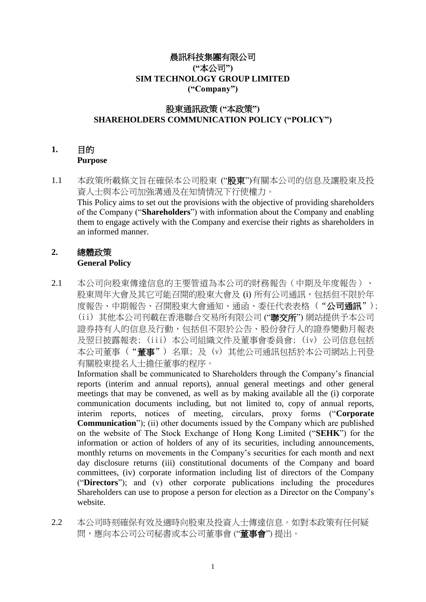#### 晨訊科技集團有限公司 **("**本公司**") SIM TECHNOLOGY GROUP LIMITED ("Company")**

# 股東通訊政策 **("**本政策**") SHAREHOLDERS COMMUNICATION POLICY ("POLICY")**

# **1.** 目的

#### **Purpose**

1.1 本政策所載條文旨在確保本公司股東 ("股東")有關本公司的信息及讓股東及投 資人士與本公司加強溝通及在知情情況下行使權力。 This Policy aims to set out the provisions with the objective of providing shareholders of the Company ("**Shareholders**") with information about the Company and enabling them to engage actively with the Company and exercise their rights as shareholders in an informed manner.

# **2.** 總體政策

## **General Policy**

2.1 本公司向股東傳達信息的主要管道為本公司的財務報告(中期及年度報告)、 股東周年大會及其它可能召開的股東大會及 (i) 所有公司通訊,包括但不限於年 度報告、中期報告、召開股東大會通知、通函、委任代表表格("公司通訊"); (ii) 其他本公司刊載在香港聯合交易所有限公司 ("聯交所") 網站提供予本公司 證券持有人的信息及行動,包括但不限於公告、股份發行人的證券變動月報表 及翌日披露報表; (iii) 本公司組織文件及董事會委員會; (iv) 公司信息包括 本公司董事 ("董事") 名單; 及 (v) 其他公司通訊包括於本公司網站上刊登 有關股東提名人士擔任董事的程序。

Information shall be communicated to Shareholders through the Company's financial reports (interim and annual reports), annual general meetings and other general meetings that may be convened, as well as by making available all the (i) corporate communication documents including, but not limited to, copy of annual reports, interim reports, notices of meeting, circulars, proxy forms ("**Corporate Communication**"); (ii) other documents issued by the Company which are published on the website of The Stock Exchange of Hong Kong Limited ("**SEHK**") for the information or action of holders of any of its securities, including announcements, monthly returns on movements in the Company's securities for each month and next day disclosure returns (iii) constitutional documents of the Company and board committees, (iv) corporate information including list of directors of the Company ("**Directors**"); and (v) other corporate publications including the procedures Shareholders can use to propose a person for election as a Director on the Company's website.

2.2 本公司時刻確保有效及適時向股東及投資人士傳達信息。如對本政策有任何疑 問,應向本公司秘書或本公司董事會 ("董事會") 提出。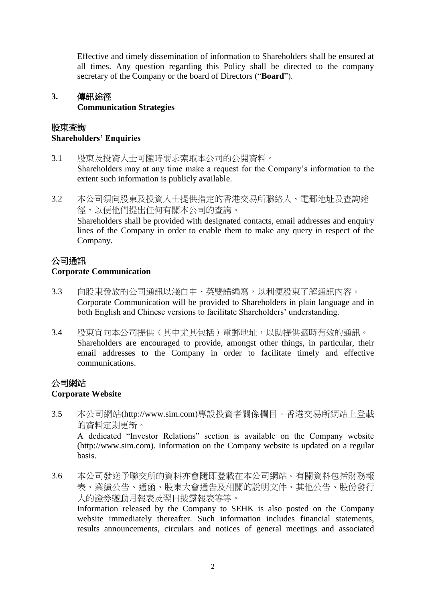Effective and timely dissemination of information to Shareholders shall be ensured at all times. Any question regarding this Policy shall be directed to the company secretary of the Company or the board of Directors ("**Board**").

# **3.** 傳訊途徑 **Communication Strategies**

#### 股東査詢

#### **Shareholders' Enquiries**

- 3.1 股東及投資人士可隨時要求索取本公司的公開資料。 Shareholders may at any time make a request for the Company's information to the extent such information is publicly available.
- 3.2 本公司須向股東及投資人士提供指定的香港交易所聯絡人、電郵地址及查詢途 徑,以便他們提出任何有關本公司的查詢。 Shareholders shall be provided with designated contacts, email addresses and enquiry lines of the Company in order to enable them to make any query in respect of the Company.

### 公司通訊

#### **Corporate Communication**

- 3.3 向股東發放的公司通訊以淺白中、英雙語編寫,以利便股東了解通訊內容。 Corporate Communication will be provided to Shareholders in plain language and in both English and Chinese versions to facilitate Shareholders' understanding.
- 3.4 股東宜向本公司提供(其中尤其包括)電郵地址,以助提供適時有效的通訊。 Shareholders are encouraged to provide, amongst other things, in particular, their email addresses to the Company in order to facilitate timely and effective communications.

#### 公司網站 **Corporate Website**

- 3.5 本公司網站(http://www.sim.com)專設投資者關係欄目。香港交易所網站上登載 的資料定期更新。 A dedicated "Investor Relations" section is available on the Company website (http://www.sim.com). Information on the Company website is updated on a regular basis.
- 3.6 本公司發送予聯交所的資料亦會隨即登載在本公司網站。有關資料包括財務報 表、業績公告、通函、股東大會通告及相關的說明文件、其他公告、股份發行 人的證券變動月報表及翌日披露報表等等。 Information released by the Company to SEHK is also posted on the Company website immediately thereafter. Such information includes financial statements,

results announcements, circulars and notices of general meetings and associated